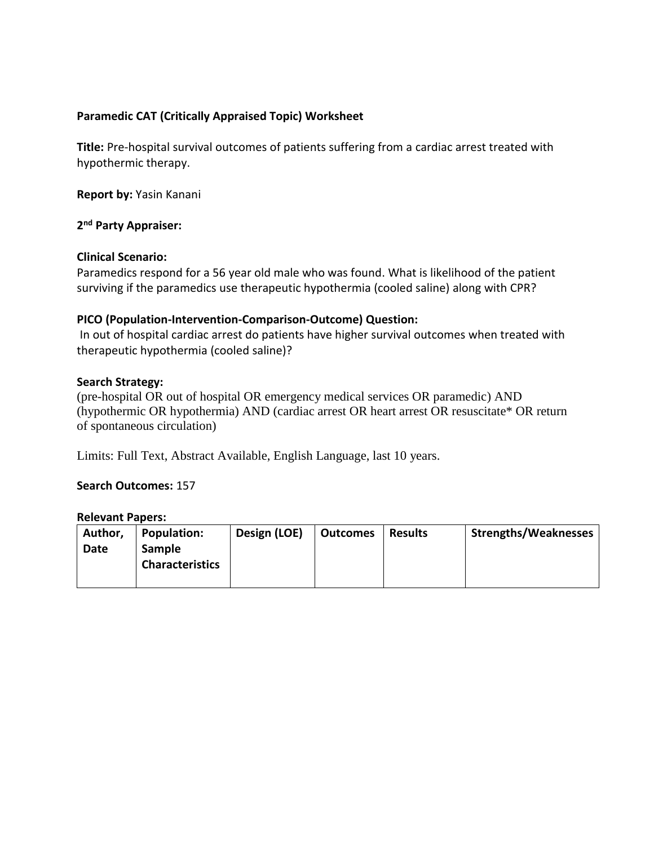# **Paramedic CAT (Critically Appraised Topic) Worksheet**

**Title:** Pre-hospital survival outcomes of patients suffering from a cardiac arrest treated with hypothermic therapy.

**Report by:** Yasin Kanani

**2 nd Party Appraiser:**

## **Clinical Scenario:**

Paramedics respond for a 56 year old male who was found. What is likelihood of the patient surviving if the paramedics use therapeutic hypothermia (cooled saline) along with CPR?

## **PICO (Population-Intervention-Comparison-Outcome) Question:**

In out of hospital cardiac arrest do patients have higher survival outcomes when treated with therapeutic hypothermia (cooled saline)?

## **Search Strategy:**

(pre-hospital OR out of hospital OR emergency medical services OR paramedic) AND (hypothermic OR hypothermia) AND (cardiac arrest OR heart arrest OR resuscitate\* OR return of spontaneous circulation)

Limits: Full Text, Abstract Available, English Language, last 10 years.

#### **Search Outcomes:** 157

#### **Relevant Papers:**

| Author, | <b>Population:</b>     | Design (LOE) | <b>Outcomes</b> | <b>Results</b> | <b>Strengths/Weaknesses</b> |
|---------|------------------------|--------------|-----------------|----------------|-----------------------------|
| Date    | <b>Sample</b>          |              |                 |                |                             |
|         | <b>Characteristics</b> |              |                 |                |                             |
|         |                        |              |                 |                |                             |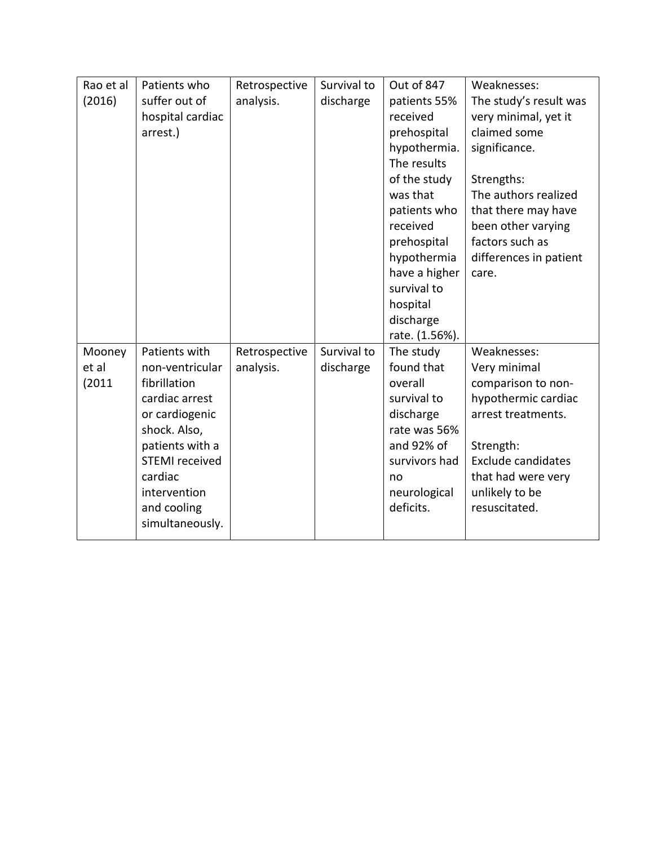| Rao et al<br>(2016)       | Patients who<br>suffer out of<br>hospital cardiac<br>arrest.)                                                                                                                                                 | Retrospective<br>analysis. | Survival to<br>discharge | Out of 847<br>patients 55%<br>received<br>prehospital<br>hypothermia.<br>The results<br>of the study<br>was that<br>patients who<br>received<br>prehospital<br>hypothermia<br>have a higher<br>survival to<br>hospital<br>discharge<br>rate. (1.56%). | Weaknesses:<br>The study's result was<br>very minimal, yet it<br>claimed some<br>significance.<br>Strengths:<br>The authors realized<br>that there may have<br>been other varying<br>factors such as<br>differences in patient<br>care. |
|---------------------------|---------------------------------------------------------------------------------------------------------------------------------------------------------------------------------------------------------------|----------------------------|--------------------------|-------------------------------------------------------------------------------------------------------------------------------------------------------------------------------------------------------------------------------------------------------|-----------------------------------------------------------------------------------------------------------------------------------------------------------------------------------------------------------------------------------------|
| Mooney<br>et al<br>(2011) | Patients with<br>non-ventricular<br>fibrillation<br>cardiac arrest<br>or cardiogenic<br>shock. Also,<br>patients with a<br><b>STEMI</b> received<br>cardiac<br>intervention<br>and cooling<br>simultaneously. | Retrospective<br>analysis. | Survival to<br>discharge | The study<br>found that<br>overall<br>survival to<br>discharge<br>rate was 56%<br>and 92% of<br>survivors had<br>no<br>neurological<br>deficits.                                                                                                      | Weaknesses:<br>Very minimal<br>comparison to non-<br>hypothermic cardiac<br>arrest treatments.<br>Strength:<br>Exclude candidates<br>that had were very<br>unlikely to be<br>resuscitated.                                              |